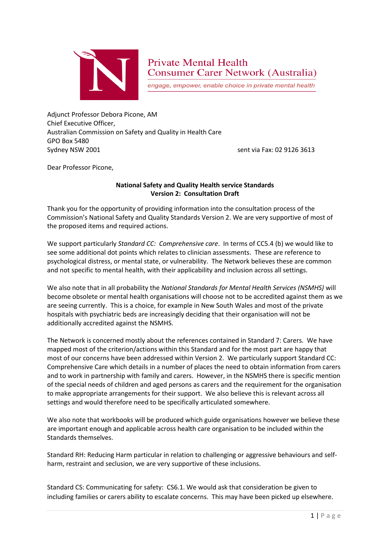

# **Private Mental Health Consumer Carer Network (Australia)**

engage, empower, enable choice in private mental health

Adjunct Professor Debora Picone, AM Chief Executive Officer, Australian Commission on Safety and Quality in Health Care GPO Box 5480 Sydney NSW 2001 sent via Fax: 02 9126 3613

Dear Professor Picone,

### **National Safety and Quality Health service Standards Version 2: Consultation Draft**

Thank you for the opportunity of providing information into the consultation process of the Commission's National Safety and Quality Standards Version 2. We are very supportive of most of the proposed items and required actions.

We support particularly *Standard CC: Comprehensive care*. In terms of CC5.4 (b) we would like to see some additional dot points which relates to clinician assessments. These are reference to psychological distress, or mental state, or vulnerability. The Network believes these are common and not specific to mental health, with their applicability and inclusion across all settings.

We also note that in all probability the *National Standards for Mental Health Services (NSMHS)* will become obsolete or mental health organisations will choose not to be accredited against them as we are seeing currently. This is a choice, for example in New South Wales and most of the private hospitals with psychiatric beds are increasingly deciding that their organisation will not be additionally accredited against the NSMHS.

The Network is concerned mostly about the references contained in Standard 7: Carers. We have mapped most of the criterion/actions within this Standard and for the most part are happy that most of our concerns have been addressed within Version 2. We particularly support Standard CC: Comprehensive Care which details in a number of places the need to obtain information from carers and to work in partnership with family and carers. However, in the NSMHS there is specific mention of the special needs of children and aged persons as carers and the requirement for the organisation to make appropriate arrangements for their support. We also believe this is relevant across all settings and would therefore need to be specifically articulated somewhere.

We also note that workbooks will be produced which guide organisations however we believe these are important enough and applicable across health care organisation to be included within the Standards themselves.

Standard RH: Reducing Harm particular in relation to challenging or aggressive behaviours and selfharm, restraint and seclusion, we are very supportive of these inclusions.

Standard CS: Communicating for safety: CS6.1. We would ask that consideration be given to including families or carers ability to escalate concerns. This may have been picked up elsewhere.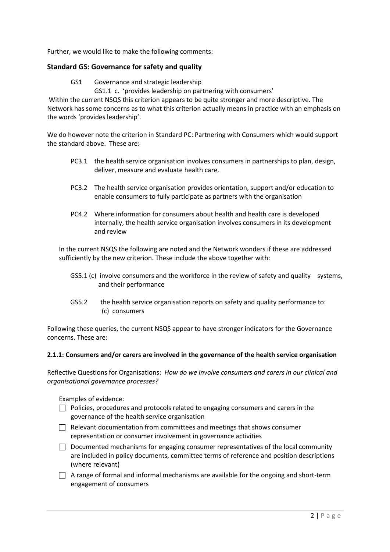Further, we would like to make the following comments:

#### **Standard GS: Governance for safety and quality**

- GS1 Governance and strategic leadership
	- GS1.1 c. 'provides leadership on partnering with consumers'

Within the current NSQS this criterion appears to be quite stronger and more descriptive. The Network has some concerns as to what this criterion actually means in practice with an emphasis on the words 'provides leadership'.

We do however note the criterion in Standard PC: Partnering with Consumers which would support the standard above. These are:

- PC3.1 the health service organisation involves consumers in partnerships to plan, design, deliver, measure and evaluate health care.
- PC3.2 The health service organisation provides orientation, support and/or education to enable consumers to fully participate as partners with the organisation
- PC4.2 Where information for consumers about health and health care is developed internally, the health service organisation involves consumers in its development and review

In the current NSQS the following are noted and the Network wonders if these are addressed sufficiently by the new criterion. These include the above together with:

- GS5.1 (c) involve consumers and the workforce in the review of safety and quality systems, and their performance
- GS5.2 the health service organisation reports on safety and quality performance to: (c) consumers

Following these queries, the current NSQS appear to have stronger indicators for the Governance concerns. These are:

#### **2.1.1: Consumers and/or carers are involved in the governance of the health service organisation**

Reflective Questions for Organisations: *How do we involve consumers and carers in our clinical and organisational governance processes?*

Examples of evidence:

- $\Box$  Policies, procedures and protocols related to engaging consumers and carers in the governance of the health service organisation
- $\Box$  Relevant documentation from committees and meetings that shows consumer representation or consumer involvement in governance activities
- $\Box$  Documented mechanisms for engaging consumer representatives of the local community are included in policy documents, committee terms of reference and position descriptions (where relevant)
- $\Box$  A range of formal and informal mechanisms are available for the ongoing and short-term engagement of consumers